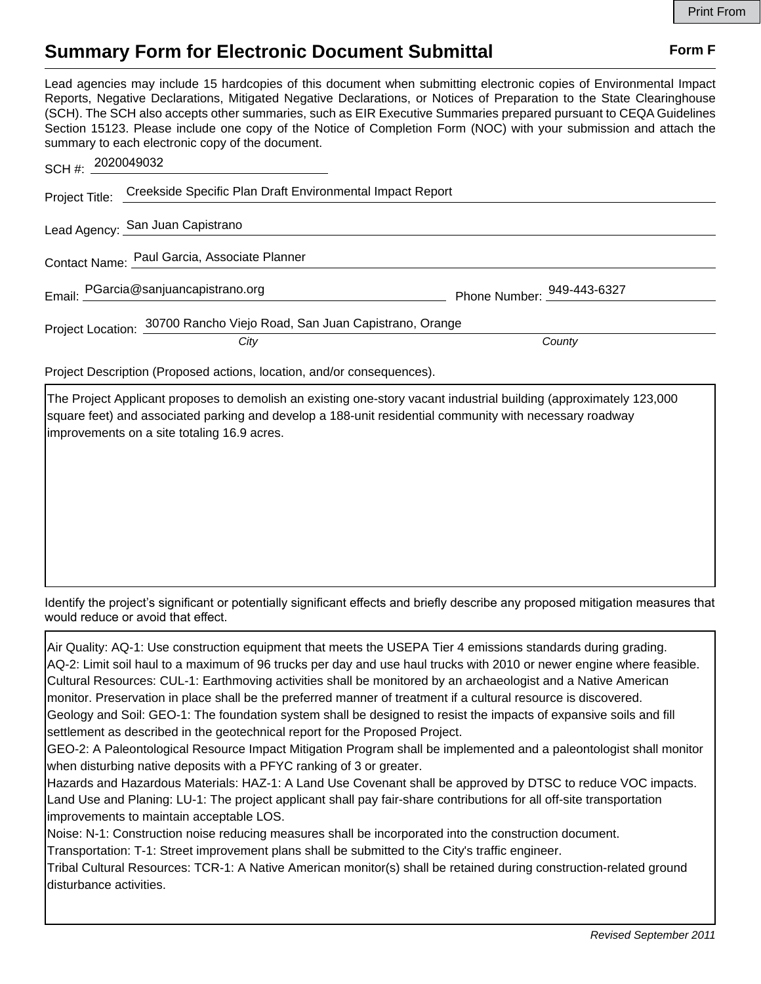## **Summary Form for Electronic Document Submittal Form F Form F**

Lead agencies may include 15 hardcopies of this document when submitting electronic copies of Environmental Impact Reports, Negative Declarations, Mitigated Negative Declarations, or Notices of Preparation to the State Clearinghouse (SCH). The SCH also accepts other summaries, such as EIR Executive Summaries prepared pursuant to CEQA Guidelines Section 15123. Please include one copy of the Notice of Completion Form (NOC) with your submission and attach the summary to each electronic copy of the document.

| SCH #: 2020049032 |                                                                          |                            |
|-------------------|--------------------------------------------------------------------------|----------------------------|
|                   | Project Title: Creekside Specific Plan Draft Environmental Impact Report |                            |
|                   | Lead Agency: San Juan Capistrano                                         |                            |
|                   | Contact Name: Paul Garcia, Associate Planner                             |                            |
|                   | Email: PGarcia@sanjuancapistrano.org                                     | Phone Number: 949-443-6327 |
|                   | Project Location: 30700 Rancho Viejo Road, San Juan Capistrano, Orange   |                            |
|                   | City                                                                     | County                     |
|                   |                                                                          |                            |

Project Description (Proposed actions, location, and/or consequences).

The Project Applicant proposes to demolish an existing one-story vacant industrial building (approximately 123,000 square feet) and associated parking and develop a 188-unit residential community with necessary roadway improvements on a site totaling 16.9 acres.

Identify the project's significant or potentially significant effects and briefly describe any proposed mitigation measures that would reduce or avoid that effect.

Air Quality: AQ-1: Use construction equipment that meets the USEPA Tier 4 emissions standards during grading. AQ-2: Limit soil haul to a maximum of 96 trucks per day and use haul trucks with 2010 or newer engine where feasible. Cultural Resources: CUL-1: Earthmoving activities shall be monitored by an archaeologist and a Native American monitor. Preservation in place shall be the preferred manner of treatment if a cultural resource is discovered. Geology and Soil: GEO-1: The foundation system shall be designed to resist the impacts of expansive soils and fill settlement as described in the geotechnical report for the Proposed Project. GEO-2: A Paleontological Resource Impact Mitigation Program shall be implemented and a paleontologist shall monitor when disturbing native deposits with a PFYC ranking of 3 or greater.

Hazards and Hazardous Materials: HAZ-1: A Land Use Covenant shall be approved by DTSC to reduce VOC impacts. Land Use and Planing: LU-1: The project applicant shall pay fair-share contributions for all off-site transportation improvements to maintain acceptable LOS.

Noise: N-1: Construction noise reducing measures shall be incorporated into the construction document.

Transportation: T-1: Street improvement plans shall be submitted to the City's traffic engineer.

Tribal Cultural Resources: TCR-1: A Native American monitor(s) shall be retained during construction-related ground disturbance activities.